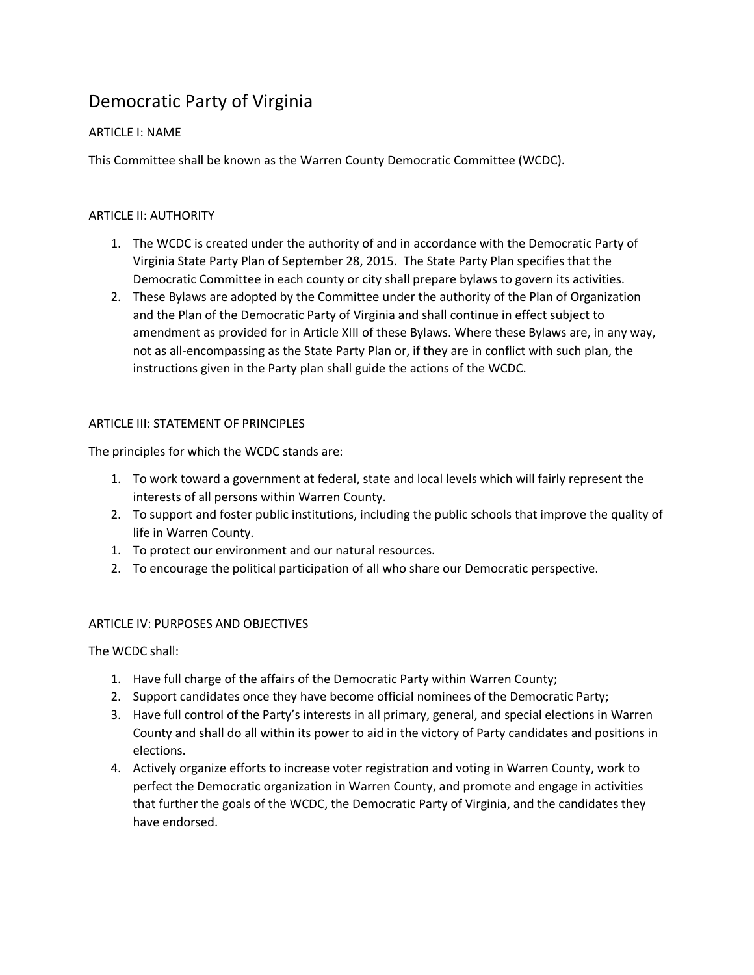# Democratic Party of Virginia

# ARTICLE I: NAME

This Committee shall be known as the Warren County Democratic Committee (WCDC).

# ARTICLE II: AUTHORITY

- 1. The WCDC is created under the authority of and in accordance with the Democratic Party of Virginia State Party Plan of September 28, 2015. The State Party Plan specifies that the Democratic Committee in each county or city shall prepare bylaws to govern its activities.
- 2. These Bylaws are adopted by the Committee under the authority of the Plan of Organization and the Plan of the Democratic Party of Virginia and shall continue in effect subject to amendment as provided for in Article XIII of these Bylaws. Where these Bylaws are, in any way, not as all-encompassing as the State Party Plan or, if they are in conflict with such plan, the instructions given in the Party plan shall guide the actions of the WCDC.

### ARTICLE III: STATEMENT OF PRINCIPLES

The principles for which the WCDC stands are:

- 1. To work toward a government at federal, state and local levels which will fairly represent the interests of all persons within Warren County.
- 2. To support and foster public institutions, including the public schools that improve the quality of life in Warren County.
- 1. To protect our environment and our natural resources.
- 2. To encourage the political participation of all who share our Democratic perspective.

# ARTICLE IV: PURPOSES AND OBJECTIVES

The WCDC shall:

- 1. Have full charge of the affairs of the Democratic Party within Warren County;
- 2. Support candidates once they have become official nominees of the Democratic Party;
- 3. Have full control of the Party's interests in all primary, general, and special elections in Warren County and shall do all within its power to aid in the victory of Party candidates and positions in elections.
- 4. Actively organize efforts to increase voter registration and voting in Warren County, work to perfect the Democratic organization in Warren County, and promote and engage in activities that further the goals of the WCDC, the Democratic Party of Virginia, and the candidates they have endorsed.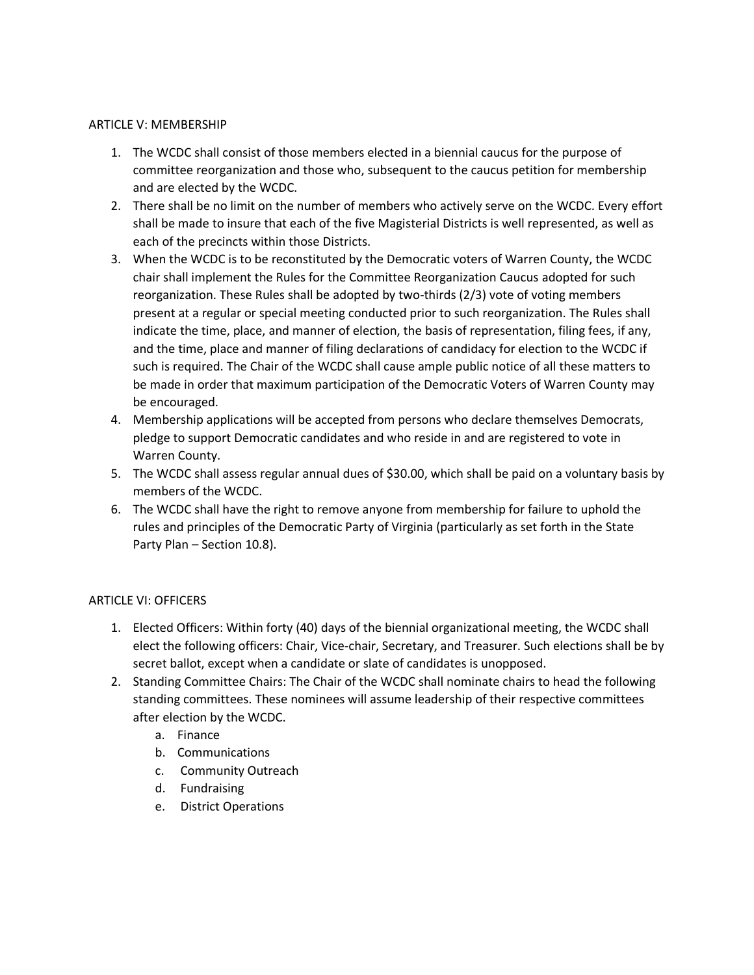#### ARTICLE V: MEMBERSHIP

- 1. The WCDC shall consist of those members elected in a biennial caucus for the purpose of committee reorganization and those who, subsequent to the caucus petition for membership and are elected by the WCDC.
- 2. There shall be no limit on the number of members who actively serve on the WCDC. Every effort shall be made to insure that each of the five Magisterial Districts is well represented, as well as each of the precincts within those Districts.
- 3. When the WCDC is to be reconstituted by the Democratic voters of Warren County, the WCDC chair shall implement the Rules for the Committee Reorganization Caucus adopted for such reorganization. These Rules shall be adopted by two-thirds (2/3) vote of voting members present at a regular or special meeting conducted prior to such reorganization. The Rules shall indicate the time, place, and manner of election, the basis of representation, filing fees, if any, and the time, place and manner of filing declarations of candidacy for election to the WCDC if such is required. The Chair of the WCDC shall cause ample public notice of all these matters to be made in order that maximum participation of the Democratic Voters of Warren County may be encouraged.
- 4. Membership applications will be accepted from persons who declare themselves Democrats, pledge to support Democratic candidates and who reside in and are registered to vote in Warren County.
- 5. The WCDC shall assess regular annual dues of \$30.00, which shall be paid on a voluntary basis by members of the WCDC.
- 6. The WCDC shall have the right to remove anyone from membership for failure to uphold the rules and principles of the Democratic Party of Virginia (particularly as set forth in the State Party Plan – Section 10.8).

# ARTICLE VI: OFFICERS

- 1. Elected Officers: Within forty (40) days of the biennial organizational meeting, the WCDC shall elect the following officers: Chair, Vice-chair, Secretary, and Treasurer. Such elections shall be by secret ballot, except when a candidate or slate of candidates is unopposed.
- 2. Standing Committee Chairs: The Chair of the WCDC shall nominate chairs to head the following standing committees. These nominees will assume leadership of their respective committees after election by the WCDC.
	- a. Finance
	- b. Communications
	- c. Community Outreach
	- d. Fundraising
	- e. District Operations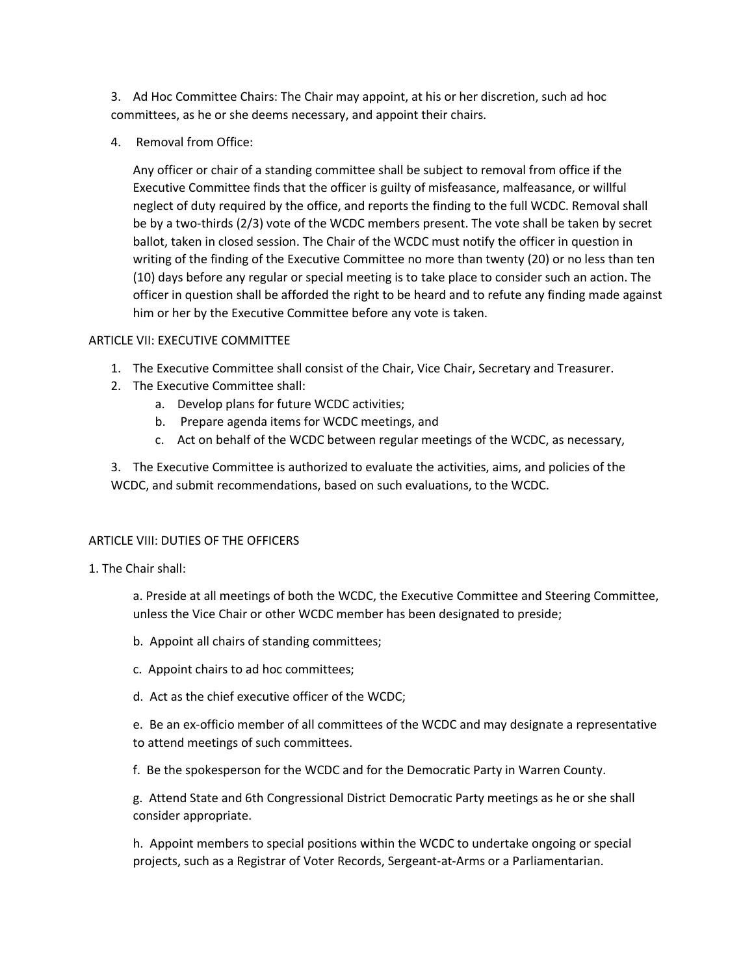3. Ad Hoc Committee Chairs: The Chair may appoint, at his or her discretion, such ad hoc committees, as he or she deems necessary, and appoint their chairs.

4. Removal from Office:

Any officer or chair of a standing committee shall be subject to removal from office if the Executive Committee finds that the officer is guilty of misfeasance, malfeasance, or willful neglect of duty required by the office, and reports the finding to the full WCDC. Removal shall be by a two-thirds (2/3) vote of the WCDC members present. The vote shall be taken by secret ballot, taken in closed session. The Chair of the WCDC must notify the officer in question in writing of the finding of the Executive Committee no more than twenty (20) or no less than ten (10) days before any regular or special meeting is to take place to consider such an action. The officer in question shall be afforded the right to be heard and to refute any finding made against him or her by the Executive Committee before any vote is taken.

#### ARTICLE VII: EXECUTIVE COMMITTEE

- 1. The Executive Committee shall consist of the Chair, Vice Chair, Secretary and Treasurer.
- 2. The Executive Committee shall:
	- a. Develop plans for future WCDC activities;
	- b. Prepare agenda items for WCDC meetings, and
	- c. Act on behalf of the WCDC between regular meetings of the WCDC, as necessary,

3. The Executive Committee is authorized to evaluate the activities, aims, and policies of the WCDC, and submit recommendations, based on such evaluations, to the WCDC.

#### ARTICLE VIII: DUTIES OF THE OFFICERS

1. The Chair shall:

a. Preside at all meetings of both the WCDC, the Executive Committee and Steering Committee, unless the Vice Chair or other WCDC member has been designated to preside;

- b. Appoint all chairs of standing committees;
- c. Appoint chairs to ad hoc committees;
- d. Act as the chief executive officer of the WCDC;

e. Be an ex-officio member of all committees of the WCDC and may designate a representative to attend meetings of such committees.

f. Be the spokesperson for the WCDC and for the Democratic Party in Warren County.

g. Attend State and 6th Congressional District Democratic Party meetings as he or she shall consider appropriate.

h. Appoint members to special positions within the WCDC to undertake ongoing or special projects, such as a Registrar of Voter Records, Sergeant-at-Arms or a Parliamentarian.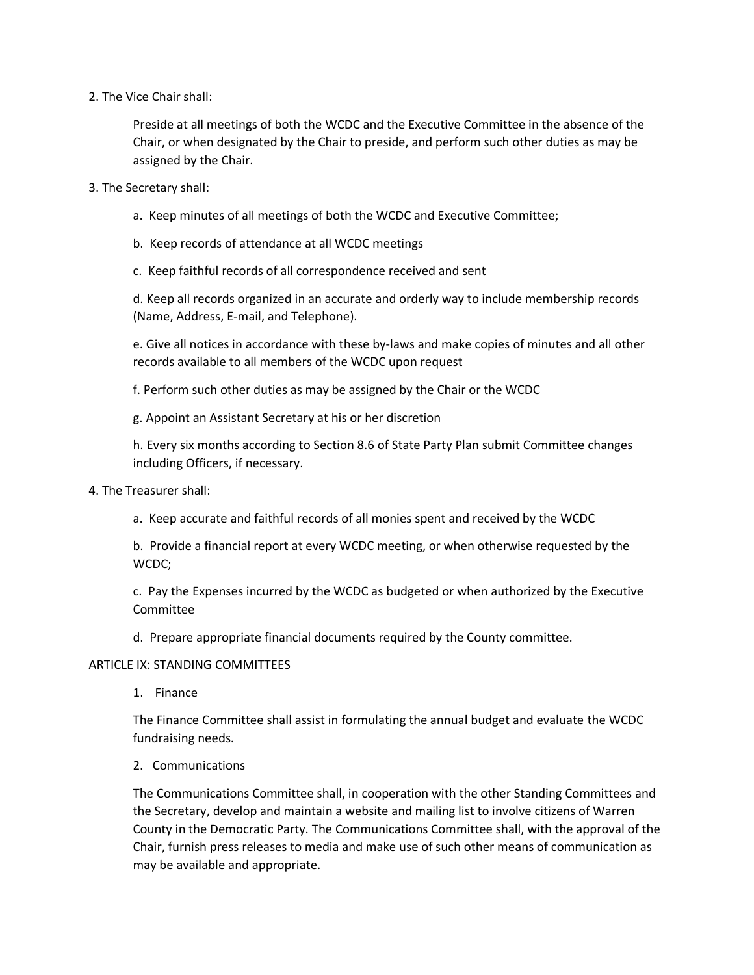2. The Vice Chair shall:

Preside at all meetings of both the WCDC and the Executive Committee in the absence of the Chair, or when designated by the Chair to preside, and perform such other duties as may be assigned by the Chair.

- 3. The Secretary shall:
	- a. Keep minutes of all meetings of both the WCDC and Executive Committee;
	- b. Keep records of attendance at all WCDC meetings
	- c. Keep faithful records of all correspondence received and sent

d. Keep all records organized in an accurate and orderly way to include membership records (Name, Address, E-mail, and Telephone).

e. Give all notices in accordance with these by-laws and make copies of minutes and all other records available to all members of the WCDC upon request

f. Perform such other duties as may be assigned by the Chair or the WCDC

g. Appoint an Assistant Secretary at his or her discretion

h. Every six months according to Section 8.6 of State Party Plan submit Committee changes including Officers, if necessary.

- 4. The Treasurer shall:
	- a. Keep accurate and faithful records of all monies spent and received by the WCDC

b. Provide a financial report at every WCDC meeting, or when otherwise requested by the WCDC;

c. Pay the Expenses incurred by the WCDC as budgeted or when authorized by the Executive Committee

d. Prepare appropriate financial documents required by the County committee.

#### ARTICLE IX: STANDING COMMITTEES

1. Finance

The Finance Committee shall assist in formulating the annual budget and evaluate the WCDC fundraising needs.

2. Communications

The Communications Committee shall, in cooperation with the other Standing Committees and the Secretary, develop and maintain a website and mailing list to involve citizens of Warren County in the Democratic Party. The Communications Committee shall, with the approval of the Chair, furnish press releases to media and make use of such other means of communication as may be available and appropriate.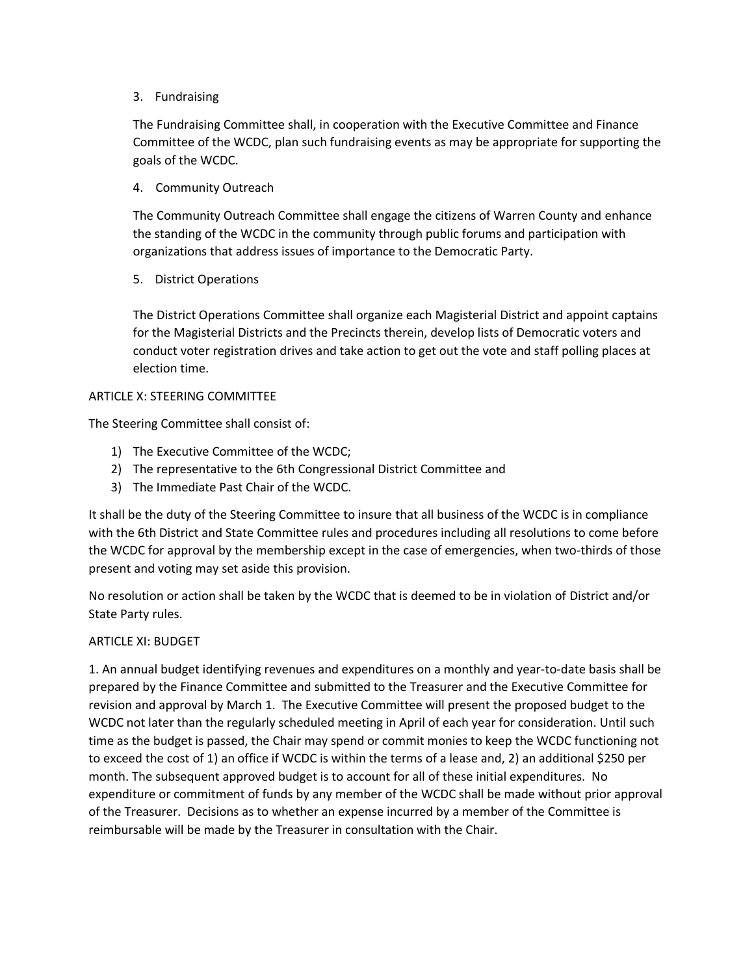### 3. Fundraising

The Fundraising Committee shall, in cooperation with the Executive Committee and Finance Committee of the WCDC, plan such fundraising events as may be appropriate for supporting the goals of the WCDC.

## 4. Community Outreach

The Community Outreach Committee shall engage the citizens of Warren County and enhance the standing of the WCDC in the community through public forums and participation with organizations that address issues of importance to the Democratic Party.

### 5. District Operations

The District Operations Committee shall organize each Magisterial District and appoint captains for the Magisterial Districts and the Precincts therein, develop lists of Democratic voters and conduct voter registration drives and take action to get out the vote and staff polling places at election time.

#### ARTICLE X: STEERING COMMITTEE

The Steering Committee shall consist of:

- 1) The Executive Committee of the WCDC;
- 2) The representative to the 6th Congressional District Committee and
- 3) The Immediate Past Chair of the WCDC.

It shall be the duty of the Steering Committee to insure that all business of the WCDC is in compliance with the 6th District and State Committee rules and procedures including all resolutions to come before the WCDC for approval by the membership except in the case of emergencies, when two-thirds of those present and voting may set aside this provision.

No resolution or action shall be taken by the WCDC that is deemed to be in violation of District and/or State Party rules.

#### ARTICLE XI: BUDGET

1. An annual budget identifying revenues and expenditures on a monthly and year-to-date basis shall be prepared by the Finance Committee and submitted to the Treasurer and the Executive Committee for revision and approval by March 1. The Executive Committee will present the proposed budget to the WCDC not later than the regularly scheduled meeting in April of each year for consideration. Until such time as the budget is passed, the Chair may spend or commit monies to keep the WCDC functioning not to exceed the cost of 1) an office if WCDC is within the terms of a lease and, 2) an additional \$250 per month. The subsequent approved budget is to account for all of these initial expenditures. No expenditure or commitment of funds by any member of the WCDC shall be made without prior approval of the Treasurer. Decisions as to whether an expense incurred by a member of the Committee is reimbursable will be made by the Treasurer in consultation with the Chair.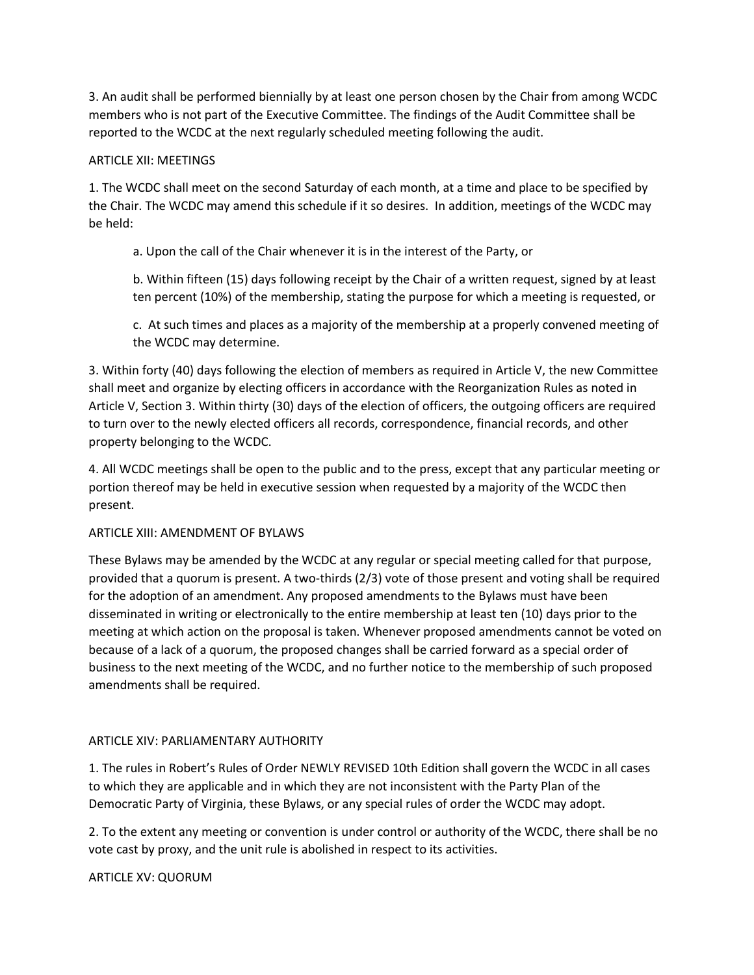3. An audit shall be performed biennially by at least one person chosen by the Chair from among WCDC members who is not part of the Executive Committee. The findings of the Audit Committee shall be reported to the WCDC at the next regularly scheduled meeting following the audit.

#### ARTICLE XII: MEETINGS

1. The WCDC shall meet on the second Saturday of each month, at a time and place to be specified by the Chair. The WCDC may amend this schedule if it so desires. In addition, meetings of the WCDC may be held:

a. Upon the call of the Chair whenever it is in the interest of the Party, or

b. Within fifteen (15) days following receipt by the Chair of a written request, signed by at least ten percent (10%) of the membership, stating the purpose for which a meeting is requested, or

c. At such times and places as a majority of the membership at a properly convened meeting of the WCDC may determine.

3. Within forty (40) days following the election of members as required in Article V, the new Committee shall meet and organize by electing officers in accordance with the Reorganization Rules as noted in Article V, Section 3. Within thirty (30) days of the election of officers, the outgoing officers are required to turn over to the newly elected officers all records, correspondence, financial records, and other property belonging to the WCDC.

4. All WCDC meetings shall be open to the public and to the press, except that any particular meeting or portion thereof may be held in executive session when requested by a majority of the WCDC then present.

#### ARTICLE XIII: AMENDMENT OF BYLAWS

These Bylaws may be amended by the WCDC at any regular or special meeting called for that purpose, provided that a quorum is present. A two-thirds (2/3) vote of those present and voting shall be required for the adoption of an amendment. Any proposed amendments to the Bylaws must have been disseminated in writing or electronically to the entire membership at least ten (10) days prior to the meeting at which action on the proposal is taken. Whenever proposed amendments cannot be voted on because of a lack of a quorum, the proposed changes shall be carried forward as a special order of business to the next meeting of the WCDC, and no further notice to the membership of such proposed amendments shall be required.

# ARTICLE XIV: PARLIAMENTARY AUTHORITY

1. The rules in Robert's Rules of Order NEWLY REVISED 10th Edition shall govern the WCDC in all cases to which they are applicable and in which they are not inconsistent with the Party Plan of the Democratic Party of Virginia, these Bylaws, or any special rules of order the WCDC may adopt.

2. To the extent any meeting or convention is under control or authority of the WCDC, there shall be no vote cast by proxy, and the unit rule is abolished in respect to its activities.

# ARTICLE XV: QUORUM